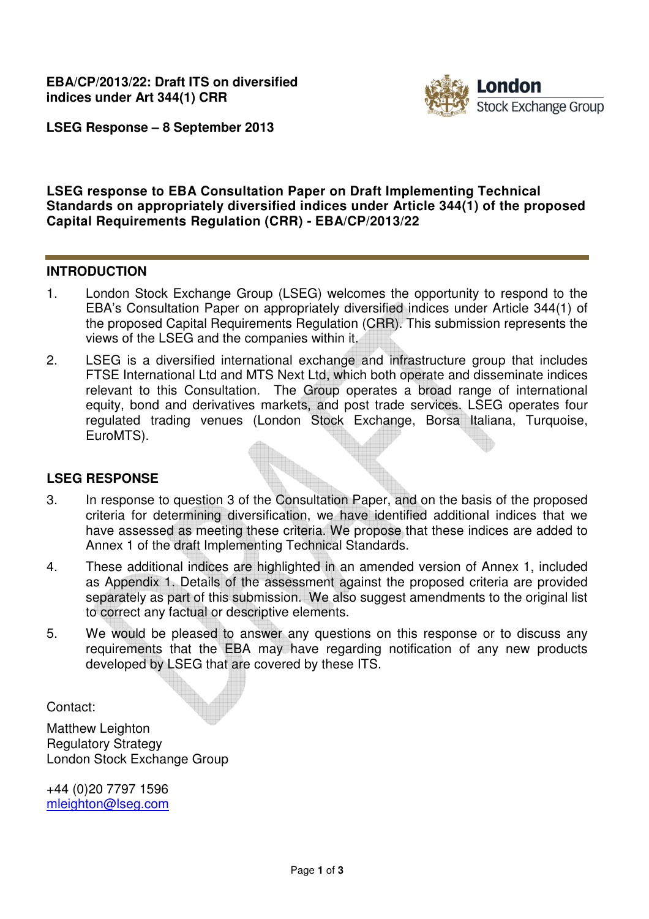

**LSEG Response – 8 September 2013**

### **LSEG response to EBA Consultation Paper on Draft Implementing Technical Standards on appropriately diversified indices under Article 344(1) of the proposed Capital Requirements Regulation (CRR) - EBA/CP/2013/22**

#### **INTRODUCTION**

- 1. London Stock Exchange Group (LSEG) welcomes the opportunity to respond to the EBA's Consultation Paper on appropriately diversified indices under Article 344(1) of the proposed Capital Requirements Regulation (CRR). This submission represents the views of the LSEG and the companies within it.
- 2. LSEG is a diversified international exchange and infrastructure group that includes FTSE International Ltd and MTS Next Ltd, which both operate and disseminate indices relevant to this Consultation. The Group operates a broad range of international equity, bond and derivatives markets, and post trade services. LSEG operates four regulated trading venues (London Stock Exchange, Borsa Italiana, Turquoise, EuroMTS).

#### **LSEG RESPONSE**

- 3. In response to question 3 of the Consultation Paper, and on the basis of the proposed criteria for determining diversification, we have identified additional indices that we have assessed as meeting these criteria. We propose that these indices are added to Annex 1 of the draft Implementing Technical Standards.
- 4. These additional indices are highlighted in an amended version of Annex 1, included as Appendix 1. Details of the assessment against the proposed criteria are provided separately as part of this submission. We also suggest amendments to the original list to correct any factual or descriptive elements.
- 5. We would be pleased to answer any questions on this response or to discuss any requirements that the EBA may have regarding notification of any new products developed by LSEG that are covered by these ITS.

Contact:

Matthew Leighton Regulatory Strategy London Stock Exchange Group

+44 (0)20 7797 1596 mleighton@lseg.com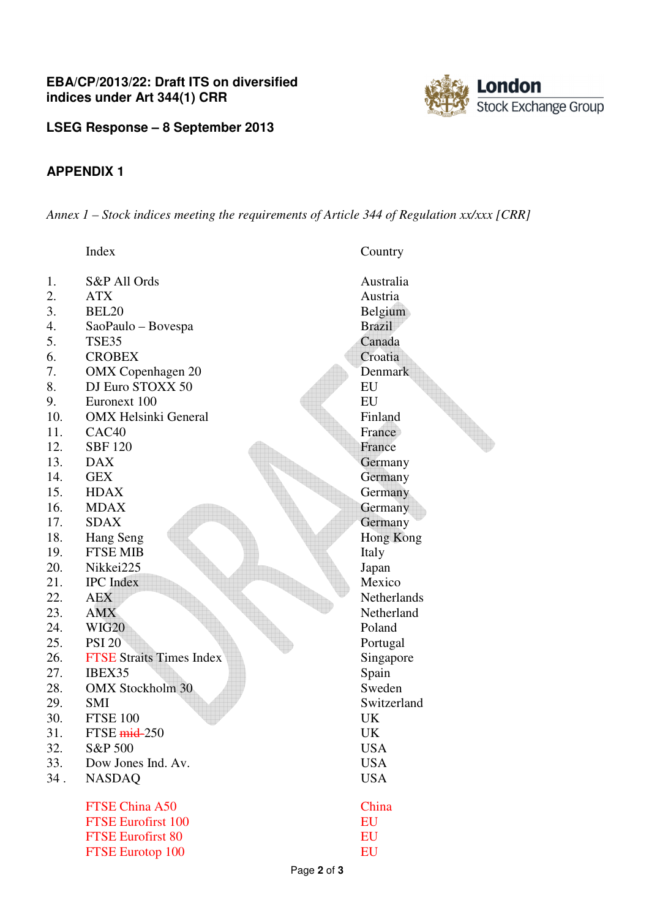

**LSEG Response – 8 September 2013**

# **APPENDIX 1**

*Annex 1 – Stock indices meeting the requirements of Article 344 of Regulation xx/xxx [CRR]* 

|     | Index                           | Country       |
|-----|---------------------------------|---------------|
| 1.  | S&P All Ords                    | Australia     |
| 2.  | <b>ATX</b>                      | Austria       |
| 3.  | BEL <sub>20</sub>               | Belgium       |
| 4.  | SaoPaulo - Bovespa              | <b>Brazil</b> |
| 5.  | TSE35                           | Canada        |
| 6.  | <b>CROBEX</b>                   | Croatia       |
| 7.  | <b>OMX</b> Copenhagen 20        | Denmark       |
| 8.  | DJ Euro STOXX 50                | EU            |
| 9.  | Euronext 100                    | EU            |
| 10. | <b>OMX</b> Helsinki General     | Finland       |
| 11. | CAC <sub>40</sub>               | France        |
| 12. | <b>SBF 120</b>                  | France        |
| 13. | <b>DAX</b>                      | Germany       |
| 14. | <b>GEX</b>                      | Germany       |
| 15. | <b>HDAX</b>                     | Germany       |
| 16. | <b>MDAX</b>                     | Germany       |
| 17. | <b>SDAX</b>                     | Germany       |
| 18. | Hang Seng                       | Hong Kong     |
| 19. | <b>FTSE MIB</b>                 | Italy         |
| 20. | Nikkei225                       | Japan         |
| 21. | <b>IPC</b> Index                | Mexico        |
| 22. | <b>AEX</b>                      | Netherlands   |
| 23. | <b>AMX</b>                      | Netherland    |
| 24. | <b>WIG20</b>                    | Poland        |
| 25. | <b>PSI 20</b>                   | Portugal      |
| 26. | <b>FTSE Straits Times Index</b> | Singapore     |
| 27. | IBEX35                          | Spain         |
| 28. | <b>OMX Stockholm 30</b>         | Sweden        |
| 29. | <b>SMI</b>                      | Switzerland   |
| 30. | <b>FTSE 100</b>                 | UK            |
| 31. | FTSE $mid-250$                  | UK            |
| 32. | S&P 500                         | <b>USA</b>    |
| 33. | Dow Jones Ind. Av.              | <b>USA</b>    |
| 34. | <b>NASDAQ</b>                   | <b>USA</b>    |
|     | <b>FTSE China A50</b>           | China         |
|     | <b>FTSE Eurofirst 100</b>       | EU            |
|     | <b>FTSE Eurofirst 80</b>        | EU            |
|     | <b>FTSE Eurotop 100</b>         | EU            |
|     | $D_{200}$ $\Omega$ of $\Omega$  |               |